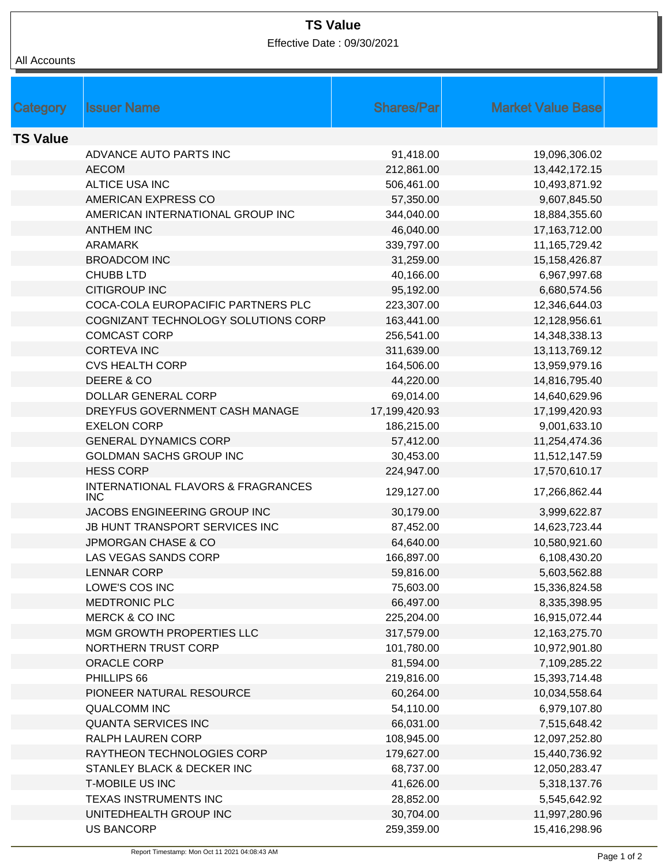## **TS Value**

Effective Date : 09/30/2021

## All Accounts

| <b>Shares/Par</b><br><b>Market Value Base</b><br><b>Issuer Name</b><br>Category      |  |
|--------------------------------------------------------------------------------------|--|
|                                                                                      |  |
| <b>TS Value</b>                                                                      |  |
| ADVANCE AUTO PARTS INC<br>91,418.00<br>19,096,306.02                                 |  |
| <b>AECOM</b><br>212,861.00<br>13,442,172.15                                          |  |
| ALTICE USA INC<br>506,461.00<br>10,493,871.92                                        |  |
| AMERICAN EXPRESS CO<br>57,350.00<br>9,607,845.50                                     |  |
| AMERICAN INTERNATIONAL GROUP INC<br>344,040.00<br>18,884,355.60                      |  |
| <b>ANTHEM INC</b><br>46,040.00<br>17,163,712.00                                      |  |
| <b>ARAMARK</b><br>339,797.00<br>11,165,729.42                                        |  |
| <b>BROADCOM INC</b><br>31,259.00<br>15,158,426.87                                    |  |
| <b>CHUBB LTD</b><br>40,166.00<br>6,967,997.68                                        |  |
| <b>CITIGROUP INC</b><br>95,192.00<br>6,680,574.56                                    |  |
| COCA-COLA EUROPACIFIC PARTNERS PLC<br>223,307.00<br>12,346,644.03                    |  |
| COGNIZANT TECHNOLOGY SOLUTIONS CORP<br>163,441.00<br>12,128,956.61                   |  |
| <b>COMCAST CORP</b><br>256,541.00<br>14,348,338.13                                   |  |
| <b>CORTEVA INC</b><br>311,639.00<br>13,113,769.12                                    |  |
| <b>CVS HEALTH CORP</b><br>164,506.00<br>13,959,979.16                                |  |
| DEERE & CO<br>44,220.00<br>14,816,795.40                                             |  |
| DOLLAR GENERAL CORP<br>69,014.00<br>14,640,629.96                                    |  |
| DREYFUS GOVERNMENT CASH MANAGE<br>17,199,420.93<br>17,199,420.93                     |  |
| <b>EXELON CORP</b><br>9,001,633.10<br>186,215.00                                     |  |
| <b>GENERAL DYNAMICS CORP</b><br>57,412.00<br>11,254,474.36                           |  |
| GOLDMAN SACHS GROUP INC<br>30,453.00<br>11,512,147.59                                |  |
| <b>HESS CORP</b><br>224,947.00<br>17,570,610.17                                      |  |
| <b>INTERNATIONAL FLAVORS &amp; FRAGRANCES</b><br>129,127.00<br>17,266,862.44<br>INC. |  |
| JACOBS ENGINEERING GROUP INC<br>30,179.00<br>3,999,622.87                            |  |
| JB HUNT TRANSPORT SERVICES INC<br>87,452.00<br>14,623,723.44                         |  |
| <b>JPMORGAN CHASE &amp; CO</b><br>64,640.00<br>10,580,921.60                         |  |
| LAS VEGAS SANDS CORP<br>166,897.00<br>6,108,430.20                                   |  |
| <b>LENNAR CORP</b><br>59,816.00<br>5,603,562.88                                      |  |
| LOWE'S COS INC<br>75,603.00<br>15,336,824.58                                         |  |
| <b>MEDTRONIC PLC</b><br>66,497.00<br>8,335,398.95                                    |  |
| <b>MERCK &amp; CO INC</b><br>16,915,072.44<br>225,204.00                             |  |
| MGM GROWTH PROPERTIES LLC<br>317,579.00<br>12,163,275.70                             |  |
| <b>NORTHERN TRUST CORP</b><br>101,780.00<br>10,972,901.80                            |  |
| ORACLE CORP<br>81,594.00<br>7,109,285.22                                             |  |
| PHILLIPS 66<br>219,816.00<br>15,393,714.48                                           |  |
| PIONEER NATURAL RESOURCE<br>60,264.00<br>10,034,558.64                               |  |
| <b>QUALCOMM INC</b><br>54,110.00<br>6,979,107.80                                     |  |
| <b>QUANTA SERVICES INC</b><br>66,031.00<br>7,515,648.42                              |  |
| RALPH LAUREN CORP<br>108,945.00<br>12,097,252.80                                     |  |
| RAYTHEON TECHNOLOGIES CORP<br>179,627.00<br>15,440,736.92                            |  |
| STANLEY BLACK & DECKER INC<br>68,737.00<br>12,050,283.47                             |  |
| <b>T-MOBILE US INC</b><br>41,626.00<br>5,318,137.76                                  |  |
|                                                                                      |  |
| TEXAS INSTRUMENTS INC<br>28,852.00<br>5,545,642.92                                   |  |
| 30,704.00<br>UNITEDHEALTH GROUP INC<br>11,997,280.96                                 |  |